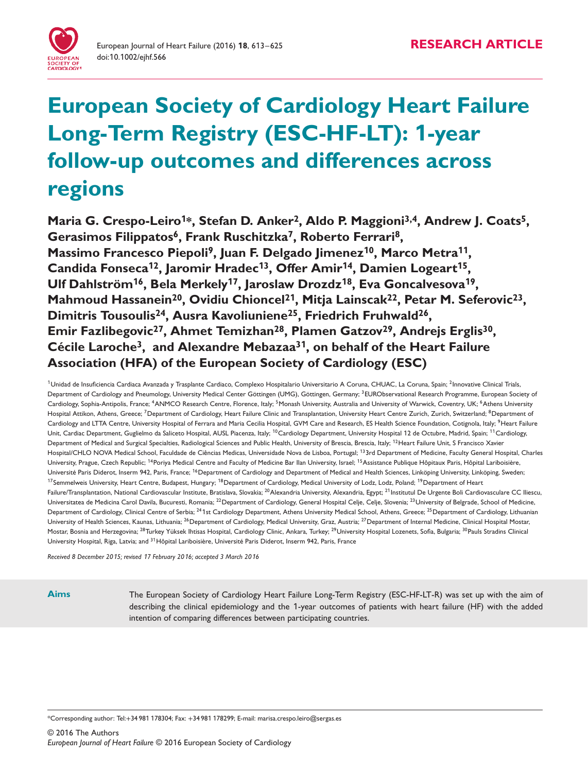

# **European Society of Cardiology Heart Failure Long-Term Registry (ESC-HF-LT): 1-year follow-up outcomes and differences across regions**

**Maria G. Crespo-Leiro<sup>1</sup>\*, Stefan D. Anker2, Aldo P. Maggioni3,4, Andrew J. Coats5, Gerasimos Filippatos6, Frank Ruschitzka7, Roberto Ferrari8, Massimo Francesco Piepoli9, Juan F. Delgado Jimenez<sup>1</sup>0, Marco Metra<sup>11</sup>, Candida Fonseca<sup>1</sup>2, Jaromir Hradec<sup>1</sup>3, Offer Amir<sup>1</sup>4, Damien Logeart<sup>1</sup>5, Ulf Dahlström<sup>1</sup>6, Bela Merkely<sup>1</sup>7, Jaroslaw Drozdz<sup>1</sup>8, Eva Goncalvesova<sup>1</sup>9, Mahmoud Hassanein20, Ovidiu Chioncel2<sup>1</sup>, Mitja Lainscak22, Petar M. Seferovic23, Dimitris Tousoulis24, Ausra Kavoliuniene25, Friedrich Fruhwald26, Emir Fazlibegovic27, Ahmet Temizhan28, Plamen Gatzov29, Andrejs Erglis30, Cécile Laroche3, and Alexandre Mebazaa3<sup>1</sup>, on behalf of the Heart Failure Association (HFA) of the European Society of Cardiology (ESC)**

<sup>1</sup>Unidad de Insuficiencia Cardiaca Avanzada y Trasplante Cardiaco, Complexo Hospitalario Universitario A Coruna, CHUAC, La Coruna, Spain; <sup>2</sup>Innovative Clinical Trials, Department of Cardiology and Pneumology, University Medical Center Göttingen (UMG), Göttingen, Germany; <sup>3</sup>EURObservational Research Programme, European Society of Cardiology, Sophia-Antipolis, France; <sup>4</sup>ANMCO Research Centre, Florence, Italy; <sup>5</sup>Monash University, Australia and University of Warwick, Coventry, UK; <sup>6</sup>Athens University Hospital Attikon, Athens, Greece; <sup>7</sup>Department of Cardiology, Heart Failure Clinic and Transplantation, University Heart Centre Zurich, Zurich, Switzerland; <sup>8</sup>Department of Cardiology and LTTA Centre, University Hospital of Ferrara and Maria Cecilia Hospital, GVM Care and Research, ES Health Science Foundation, Cotignola, Italy; <sup>9</sup>Heart Failure Unit, Cardiac Department, Guglielmo da Saliceto Hospital, AUSL Piacenza, Italy; <sup>10</sup>Cardiology Department, University Hospital 12 de Octubre, Madrid, Spain; <sup>11</sup>Cardiology, Department of Medical and Surgical Specialties, Radiological Sciences and Public Health, University of Brescia, Brescia, Italy; <sup>1</sup>2Heart Failure Unit, S Francisco Xavier Hospital/CHLO NOVA Medical School, Faculdade de Ciências Medicas, Universidade Nova de Lisboa, Portugal; <sup>13</sup>3rd Department of Medicine, Faculty General Hospital, Charles University, Prague, Czech Republic; <sup>14</sup>Poriya Medical Centre and Faculty of Medicine Bar Ilan University, Israel; <sup>15</sup>Assistance Publique Hôpitaux Paris, Hôpital Lariboisière, Université Paris Diderot, Inserm 942, Paris, France; <sup>16</sup> Department of Cardiology and Department of Medical and Health Sciences, Linköping University, Linköping, Sweden; <sup>17</sup>Semmelweis University, Heart Centre, Budapest, Hungary; <sup>18</sup>Department of Cardiology, Medical University of Lodz, Lodz, Poland; <sup>19</sup>Department of Heart Failure/Transplantation, National Cardiovascular Institute, Bratislava, Slovakia; <sup>20</sup>Alexandria University, Alexandria, Egypt; <sup>21</sup>Institutul De Urgente Boli Cardiovasculare CC Iliescu, Universitatea de Medicina Carol Davila, Bucuresti, Romania; <sup>22</sup> Department of Cardiology, General Hospital Celie, Celie, Slovenia; <sup>23</sup>University of Belgrade, School of Medicine, Department of Cardiology, Clinical Centre of Serbia; <sup>24</sup>1st Cardiology Department, Athens University Medical School, Athens, Greece; <sup>25</sup> Department of Cardiology, Lithuanian University of Health Sciences, Kaunas, Lithuania; <sup>26</sup> Department of Cardiology, Medical University, Graz, Austria; <sup>27</sup> Department of Internal Medicine, Clinical Hospital Mostar, Mostar, Bosnia and Herzegovina; <sup>28</sup>Turkey Yüksek Ihtisas Hospital, Cardiology Clinic, Ankara, Turkey; <sup>29</sup>University Hospital Lozenets, Sofia, Bulgaria; <sup>30</sup>Pauls Stradins Clinical University Hospital, Riga, Latvia; and <sup>31</sup>Hôpital Lariboisière, Université Paris Diderot, Inserm 942, Paris, France

*Received 8 December 20*1*5; revised* 1*7 February 20*1*6; accepted 3 March 20*1*6*

**Aims** The European Society of Cardiology Heart Failure Long-Term Registry (ESC-HF-LT-R) was set up with the aim of describing the clinical epidemiology and the 1-year outcomes of patients with heart failure (HF) with the added intention of comparing differences between participating countries.

\*Corresponding author: Tel:+34 981 178304; Fax: +34 981 178299; E-mail: marisa.crespo.leiro@sergas.es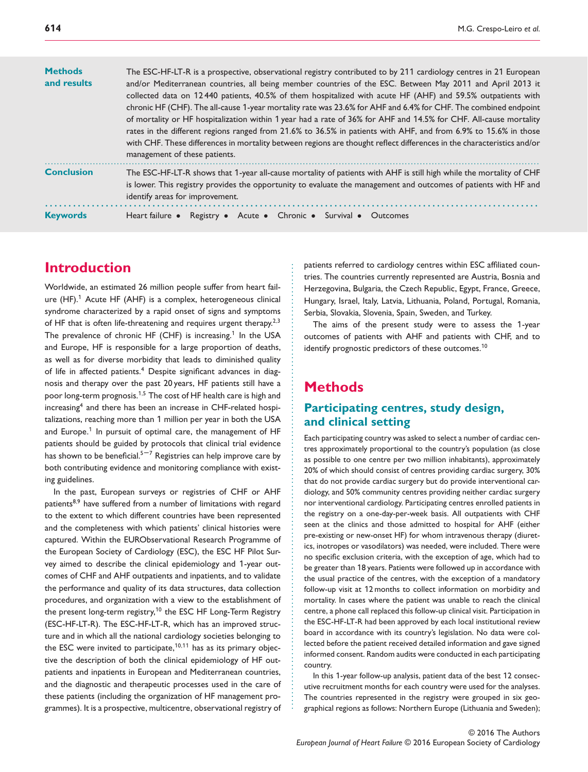| <b>Methods</b><br>and results | The ESC-HF-LT-R is a prospective, observational registry contributed to by 211 cardiology centres in 21 European<br>and/or Mediterranean countries, all being member countries of the ESC. Between May 2011 and April 2013 it<br>collected data on 12440 patients, 40.5% of them hospitalized with acute HF (AHF) and 59.5% outpatients with<br>chronic HF (CHF). The all-cause 1-year mortality rate was 23.6% for AHF and 6.4% for CHF. The combined endpoint<br>of mortality or HF hospitalization within 1 year had a rate of 36% for AHF and 14.5% for CHF. All-cause mortality<br>rates in the different regions ranged from 21.6% to 36.5% in patients with AHF, and from 6.9% to 15.6% in those<br>with CHF. These differences in mortality between regions are thought reflect differences in the characteristics and/or<br>management of these patients. |
|-------------------------------|--------------------------------------------------------------------------------------------------------------------------------------------------------------------------------------------------------------------------------------------------------------------------------------------------------------------------------------------------------------------------------------------------------------------------------------------------------------------------------------------------------------------------------------------------------------------------------------------------------------------------------------------------------------------------------------------------------------------------------------------------------------------------------------------------------------------------------------------------------------------|
| <b>Conclusion</b>             | The ESC-HF-LT-R shows that 1-year all-cause mortality of patients with AHF is still high while the mortality of CHF<br>is lower. This registry provides the opportunity to evaluate the management and outcomes of patients with HF and<br>identify areas for improvement.                                                                                                                                                                                                                                                                                                                                                                                                                                                                                                                                                                                         |
| <b>Keywords</b>               | Heart failure • Registry • Acute • Chronic • Survival • Outcomes                                                                                                                                                                                                                                                                                                                                                                                                                                                                                                                                                                                                                                                                                                                                                                                                   |

# **Introduction**

Worldwide, an estimated 26 million people suffer from heart failure (HF).<sup>1</sup> Acute HF (AHF) is a complex, heterogeneous clinical syndrome characterized by a rapid onset of signs and symptoms of HF that is often life-threatening and requires urgent therapy.<sup>2</sup>*,*<sup>3</sup> The prevalence of chronic HF (CHF) is increasing.<sup>1</sup> In the USA and Europe, HF is responsible for a large proportion of deaths, as well as for diverse morbidity that leads to diminished quality of life in affected patients.<sup>4</sup> Despite significant advances in diagnosis and therapy over the past 20 years, HF patients still have a poor long-term prognosis.<sup>1</sup>*,*<sup>5</sup> The cost of HF health care is high and increasing<sup>4</sup> and there has been an increase in CHF-related hospitalizations, reaching more than 1 million per year in both the USA and Europe. $1$  In pursuit of optimal care, the management of HF patients should be guided by protocols that clinical trial evidence has shown to be beneficial.<sup>5–7</sup> Registries can help improve care by both contributing evidence and monitoring compliance with existing guidelines.

In the past, European surveys or registries of CHF or AHF patients<sup>8</sup>*,*<sup>9</sup> have suffered from a number of limitations with regard to the extent to which different countries have been represented and the completeness with which patients' clinical histories were captured. Within the EURObservational Research Programme of the European Society of Cardiology (ESC), the ESC HF Pilot Survey aimed to describe the clinical epidemiology and 1-year outcomes of CHF and AHF outpatients and inpatients, and to validate the performance and quality of its data structures, data collection procedures, and organization with a view to the establishment of the present long-term registry,<sup>10</sup> the ESC HF Long-Term Registry (ESC-HF-LT-R). The ESC-HF-LT-R, which has an improved structure and in which all the national cardiology societies belonging to the ESC were invited to participate,<sup>1</sup>0*,*<sup>11</sup> has as its primary objective the description of both the clinical epidemiology of HF outpatients and inpatients in European and Mediterranean countries, and the diagnostic and therapeutic processes used in the care of these patients (including the organization of HF management programmes). It is a prospective, multicentre, observational registry of patients referred to cardiology centres within ESC affiliated countries. The countries currently represented are Austria, Bosnia and Herzegovina, Bulgaria, the Czech Republic, Egypt, France, Greece, Hungary, Israel, Italy, Latvia, Lithuania, Poland, Portugal, Romania, Serbia, Slovakia, Slovenia, Spain, Sweden, and Turkey.

The aims of the present study were to assess the 1-year outcomes of patients with AHF and patients with CHF, and to identify prognostic predictors of these outcomes.<sup>10</sup>

# **Methods**

........................................................... ........................................................

# **Participating centres, study design, and clinical setting**

Each participating country was asked to select a number of cardiac centres approximately proportional to the country's population (as close as possible to one centre per two million inhabitants), approximately 20% of which should consist of centres providing cardiac surgery, 30% that do not provide cardiac surgery but do provide interventional cardiology, and 50% community centres providing neither cardiac surgery nor interventional cardiology. Participating centres enrolled patients in the registry on a one-day-per-week basis. All outpatients with CHF seen at the clinics and those admitted to hospital for AHF (either pre-existing or new-onset HF) for whom intravenous therapy (diuretics, inotropes or vasodilators) was needed, were included. There were no specific exclusion criteria, with the exception of age, which had to be greater than 18 years. Patients were followed up in accordance with the usual practice of the centres, with the exception of a mandatory follow-up visit at 12 months to collect information on morbidity and mortality. In cases where the patient was unable to reach the clinical centre, a phone call replaced this follow-up clinical visit. Participation in the ESC-HF-LT-R had been approved by each local institutional review board in accordance with its country's legislation. No data were collected before the patient received detailed information and gave signed informed consent. Random audits were conducted in each participating country.

In this 1-year follow-up analysis, patient data of the best 12 consecutive recruitment months for each country were used for the analyses. The countries represented in the registry were grouped in six geographical regions as follows: Northern Europe (Lithuania and Sweden);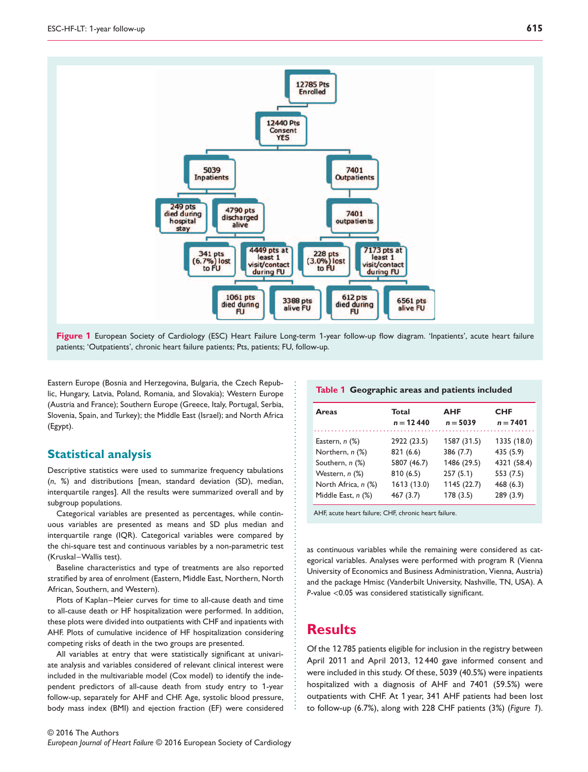

**Figure 1** European Society of Cardiology (ESC) Heart Failure Long-term 1-year follow-up flow diagram. 'Inpatients', acute heart failure patients; 'Outpatients', chronic heart failure patients; Pts, patients; FU, follow-up.

.....................................................................................

Eastern Europe (Bosnia and Herzegovina, Bulgaria, the Czech Republic, Hungary, Latvia, Poland, Romania, and Slovakia); Western Europe (Austria and France); Southern Europe (Greece, Italy, Portugal, Serbia, Slovenia, Spain, and Turkey); the Middle East (Israel); and North Africa (Egypt).

# **Statistical analysis**

Descriptive statistics were used to summarize frequency tabulations (*n*, %) and distributions [mean, standard deviation (SD), median, interquartile ranges]. All the results were summarized overall and by subgroup populations.

Categorical variables are presented as percentages, while continuous variables are presented as means and SD plus median and interquartile range (IQR). Categorical variables were compared by the chi-square test and continuous variables by a non-parametric test (Kruskal–Wallis test).

Baseline characteristics and type of treatments are also reported stratified by area of enrolment (Eastern, Middle East, Northern, North African, Southern, and Western).

Plots of Kaplan–Meier curves for time to all-cause death and time to all-cause death or HF hospitalization were performed. In addition, these plots were divided into outpatients with CHF and inpatients with AHF. Plots of cumulative incidence of HF hospitalization considering competing risks of death in the two groups are presented.

All variables at entry that were statistically significant at univariate analysis and variables considered of relevant clinical interest were included in the multivariable model (Cox model) to identify the independent predictors of all-cause death from study entry to 1-year follow-up, separately for AHF and CHF. Age, systolic blood pressure, body mass index (BMI) and ejection fraction (EF) were considered

#### **Table 1 Geographic areas and patients included**

| Areas               | Total<br>$n = 12440$ | <b>AHF</b><br>$n = 5039$ | <b>CHF</b><br>$n = 7401$ |
|---------------------|----------------------|--------------------------|--------------------------|
| Eastern, $n$ $(\%)$ | 2922 (23.5)          | 1587 (31.5)              | 1335 (18.0)              |
| Northern, n (%)     | 821 (6.6)            | 386 (7.7)                | 435 (5.9)                |
| Southern, n (%)     | 5807 (46.7)          | 1486 (29.5)              | 4321 (58.4)              |
| Western, n (%)      | 810 (6.5)            | 257(5.1)                 | 553 (7.5)                |
| North Africa, n (%) | 1613 (13.0)          | 1145 (22.7)              | 468(6.3)                 |
| Middle East, n (%)  | 467(3.7)             | 178(3.5)                 | 289 (3.9)                |

AHF, acute heart failure; CHF, chronic heart failure.

as continuous variables while the remaining were considered as categorical variables. Analyses were performed with program R (Vienna University of Economics and Business Administration, Vienna, Austria) and the package Hmisc (Vanderbilt University, Nashville, TN, USA). A *P*-value *<*0.05 was considered statistically significant.

# **Results**

Of the 12 785 patients eligible for inclusion in the registry between April 2011 and April 2013, 12 440 gave informed consent and were included in this study. Of these, 5039 (40.5%) were inpatients hospitalized with a diagnosis of AHF and 7401 (59.5%) were outpatients with CHF. At 1 year, 341 AHF patients had been lost to follow-up (6.7%), along with 228 CHF patients (3%) (*Figure* 1).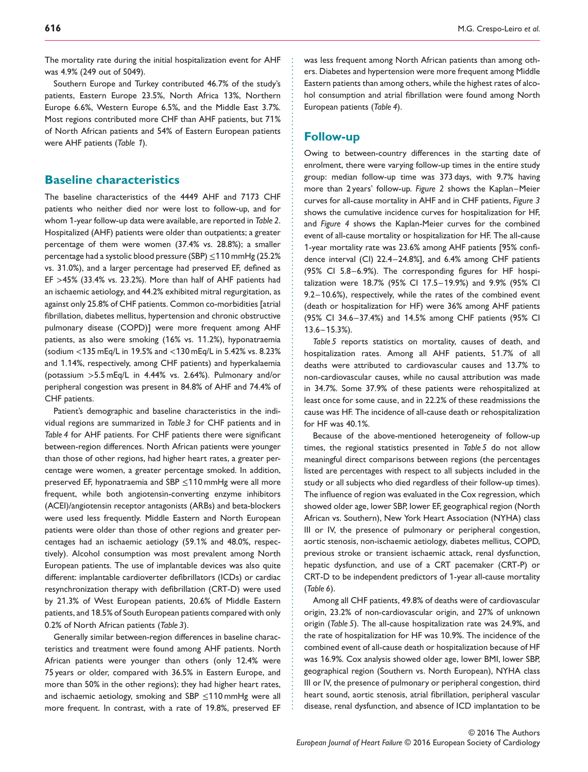The mortality rate during the initial hospitalization event for AHF was 4.9% (249 out of 5049).

Southern Europe and Turkey contributed 46.7% of the study's patients, Eastern Europe 23.5%, North Africa 13%, Northern Europe 6.6%, Western Europe 6.5%, and the Middle East 3.7%. Most regions contributed more CHF than AHF patients, but 71% of North African patients and 54% of Eastern European patients were AHF patients (*Table* 1).

# **Baseline characteristics**

The baseline characteristics of the 4449 AHF and 7173 CHF patients who neither died nor were lost to follow-up, and for whom 1-year follow-up data were available, are reported in *Table 2*. Hospitalized (AHF) patients were older than outpatients; a greater percentage of them were women (37.4% vs. 28.8%); a smaller percentage had a systolic blood pressure (SBP) ≤110 mmHg (25.2% vs. 31.0%), and a larger percentage had preserved EF, defined as EF *>*45% (33.4% vs. 23.2%). More than half of AHF patients had an ischaemic aetiology, and 44.2% exhibited mitral regurgitation, as against only 25.8% of CHF patients. Common co-morbidities [atrial fibrillation, diabetes mellitus, hypertension and chronic obstructive pulmonary disease (COPD)] were more frequent among AHF patients, as also were smoking (16% vs. 11.2%), hyponatraemia (sodium *<*135 mEq/L in 19.5% and *<*130 mEq/L in 5.42% vs. 8.23% and 1.14%, respectively, among CHF patients) and hyperkalaemia (potassium *>*5.5 mEq/L in 4.44% vs. 2.64%). Pulmonary and/or peripheral congestion was present in 84.8% of AHF and 74.4% of CHF patients.

Patient's demographic and baseline characteristics in the individual regions are summarized in *Table 3* for CHF patients and in *Table 4* for AHF patients. For CHF patients there were significant between-region differences. North African patients were younger than those of other regions, had higher heart rates, a greater percentage were women, a greater percentage smoked. In addition, preserved EF, hyponatraemia and SBP ≤110 mmHg were all more frequent, while both angiotensin-converting enzyme inhibitors (ACEI)/angiotensin receptor antagonists (ARBs) and beta-blockers were used less frequently. Middle Eastern and North European patients were older than those of other regions and greater percentages had an ischaemic aetiology (59.1% and 48.0%, respectively). Alcohol consumption was most prevalent among North European patients. The use of implantable devices was also quite different: implantable cardioverter defibrillators (ICDs) or cardiac resynchronization therapy with defibrillation (CRT-D) were used by 21.3% of West European patients, 20.6% of Middle Eastern patients, and 18.5% of South European patients compared with only 0.2% of North African patients (*Table 3*).

Generally similar between-region differences in baseline characteristics and treatment were found among AHF patients. North African patients were younger than others (only 12.4% were 75 years or older, compared with 36.5% in Eastern Europe, and more than 50% in the other regions); they had higher heart rates, and ischaemic aetiology, smoking and SBP ≤110 mmHg were all more frequent. In contrast, with a rate of 19.8%, preserved EF was less frequent among North African patients than among others. Diabetes and hypertension were more frequent among Middle Eastern patients than among others, while the highest rates of alcohol consumption and atrial fibrillation were found among North European patients (*Table 4*).

#### **Follow-up**

............................................................... ................................................................ .........................................

Owing to between-country differences in the starting date of enrolment, there were varying follow-up times in the entire study group: median follow-up time was 373 days, with 9.7% having more than 2 years' follow-up. *Figure 2* shows the Kaplan–Meier curves for all-cause mortality in AHF and in CHF patients, *Figure 3* shows the cumulative incidence curves for hospitalization for HF, and *Figure 4* shows the Kaplan-Meier curves for the combined event of all-cause mortality or hospitalization for HF. The all-cause 1-year mortality rate was 23.6% among AHF patients [95% confidence interval (CI) 22.4–24.8%], and 6.4% among CHF patients (95% CI 5.8–6.9%). The corresponding figures for HF hospitalization were 18.7% (95% CI 17.5–19.9%) and 9.9% (95% CI 9.2–10.6%), respectively, while the rates of the combined event (death or hospitalization for HF) were 36% among AHF patients (95% CI 34.6–37.4%) and 14.5% among CHF patients (95% CI 13.6–15.3%).

*Table 5* reports statistics on mortality, causes of death, and hospitalization rates. Among all AHF patients, 51.7% of all deaths were attributed to cardiovascular causes and 13.7% to non-cardiovascular causes, while no causal attribution was made in 34.7%. Some 37.9% of these patients were rehospitalized at least once for some cause, and in 22.2% of these readmissions the cause was HF. The incidence of all-cause death or rehospitalization for HF was 40.1%.

Because of the above-mentioned heterogeneity of follow-up times, the regional statistics presented in *Table 5* do not allow meaningful direct comparisons between regions (the percentages listed are percentages with respect to all subjects included in the study or all subjects who died regardless of their follow-up times). The influence of region was evaluated in the Cox regression, which showed older age, lower SBP, lower EF, geographical region (North African vs. Southern), New York Heart Association (NYHA) class III or IV, the presence of pulmonary or peripheral congestion, aortic stenosis, non-ischaemic aetiology, diabetes mellitus, COPD, previous stroke or transient ischaemic attack, renal dysfunction, hepatic dysfunction, and use of a CRT pacemaker (CRT-P) or CRT-D to be independent predictors of 1-year all-cause mortality (*Table 6*).

Among all CHF patients, 49.8% of deaths were of cardiovascular origin, 23.2% of non-cardiovascular origin, and 27% of unknown origin (*Table 5*). The all-cause hospitalization rate was 24.9%, and the rate of hospitalization for HF was 10.9%. The incidence of the combined event of all-cause death or hospitalization because of HF was 16.9%. Cox analysis showed older age, lower BMI, lower SBP, geographical region (Southern vs. North European), NYHA class III or IV, the presence of pulmonary or peripheral congestion, third heart sound, aortic stenosis, atrial fibrillation, peripheral vascular disease, renal dysfunction, and absence of ICD implantation to be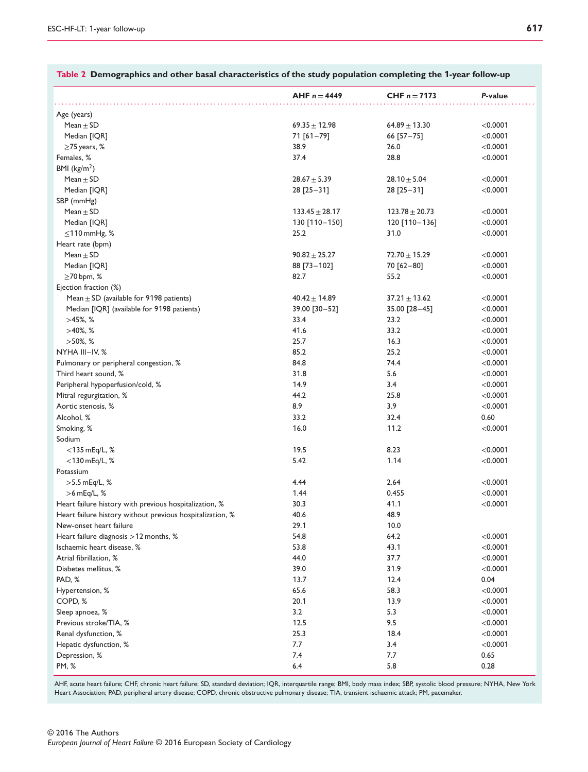|                                                           | $AHF n = 4449$     | <b>CHF</b> $n = 7173$ | P-value      |
|-----------------------------------------------------------|--------------------|-----------------------|--------------|
|                                                           |                    |                       |              |
| Age (years)                                               |                    |                       |              |
| Mean $\pm$ SD                                             | $69.35 + 12.98$    | $64.89 \pm 13.30$     | < 0.0001     |
| Median [IQR]                                              | 71 [61-79]         | 66 [57-75]            | < 0.0001     |
| $\geq$ 75 years, %                                        | 38.9               | 26.0                  | < 0.0001     |
| Females, %                                                | 37.4               | 28.8                  | < 0.0001     |
| BMI $(kg/m2)$                                             |                    |                       |              |
| Mean $\pm$ SD                                             | $28.67 + 5.39$     | $28.10 \pm 5.04$      | < 0.0001     |
| Median [IQR]                                              | $28 [25 - 31]$     | 28 [25 - 31]          | < 0.0001     |
| SBP (mmHg)                                                |                    |                       |              |
| Mean $\pm$ SD                                             | $133.45 \pm 28.17$ | $123.78 \pm 20.73$    | < 0.0001     |
| Median [IQR]                                              | 130 [110-150]      | 120 [110-136]         | < 0.0001     |
| $\leq$ 110 mmHg, %                                        | 25.2               | 31.0                  | < 0.0001     |
| Heart rate (bpm)                                          |                    |                       |              |
| Mean $\pm$ SD                                             | $90.82 + 25.27$    | $72.70 \pm 15.29$     | < 0.0001     |
| Median [IQR]                                              | 88 [73-102]        | 70 [62-80]            | < 0.0001     |
| ≥70 bpm, %                                                | 82.7               | 55.2                  | < 0.0001     |
| Ejection fraction (%)                                     |                    |                       |              |
| Mean $\pm$ SD (available for 9198 patients)               | $40.42 \pm 14.89$  | $37.21 \pm 13.62$     | < 0.0001     |
| Median [IQR] (available for 9198 patients)                | 39.00 [30-52]      | 35.00 [28-45]         | < 0.0001     |
| $>45\%, %$                                                | 33.4               | 23.2                  | < 0.0001     |
| $>40\%$ , %                                               | 41.6               | 33.2                  | < 0.0001     |
| $>50\%$ , %                                               | 25.7               | 16.3                  | < 0.0001     |
| NYHA III-IV, %                                            | 85.2               | 25.2                  | < 0.0001     |
| Pulmonary or peripheral congestion, %                     | 84.8               | 74.4                  | < 0.0001     |
| Third heart sound, %                                      | 31.8               | 5.6                   | < 0.0001     |
| Peripheral hypoperfusion/cold, %                          | 14.9               | 3.4                   | < 0.0001     |
| Mitral regurgitation, %                                   | 44.2               | 25.8                  | < 0.0001     |
| Aortic stenosis, %                                        | 8.9                | 3.9                   | < 0.0001     |
| Alcohol, %                                                | 33.2               | 32.4                  | 0.60         |
| Smoking, %                                                | 16.0               | 11.2                  | < 0.0001     |
| Sodium                                                    |                    |                       |              |
| $<$ 135 mEq/L, %                                          | 19.5               | 8.23                  | < 0.0001     |
| $<$ 130 mEq/L, %                                          | 5.42               | 1.14                  | < 0.0001     |
| Potassium                                                 |                    |                       |              |
| >5.5 mEq/L, %                                             | 4.44               | 2.64                  | < 0.0001     |
| >6 mEq/L, %                                               | 1.44               | 0.455                 | < 0.0001     |
| Heart failure history with previous hospitalization, %    | 30.3               | 41.1                  | < 0.0001     |
| Heart failure history without previous hospitalization, % | 40.6               | 48.9                  |              |
| New-onset heart failure                                   | 29.1               | 10.0                  |              |
| Heart failure diagnosis > 12 months, %                    | 54.8               | 64.2                  | < 0.0001     |
| Ischaemic heart disease, %                                | 53.8               | 43.1                  | < 0.0001     |
| Atrial fibrillation, %                                    | 44.0               | 37.7                  | < 0.0001     |
| Diabetes mellitus, %                                      | 39.0               | 31.9                  | < 0.0001     |
| PAD, %                                                    | 13.7               | 12.4                  | 0.04         |
| Hypertension, %                                           | 65.6               | 58.3                  | < 0.0001     |
| COPD, %                                                   | 20.1               | 13.9                  | $<$ 0.0001   |
| Sleep apnoea, %                                           | 3.2                | 5.3                   | < 0.0001     |
| Previous stroke/TIA, %                                    | 12.5               | 9.5                   | < 0.0001     |
| Renal dysfunction, %                                      | 25.3               | 18.4                  | < 0.0001     |
| Hepatic dysfunction, %                                    | 7.7                | 3.4                   | < 0.0001     |
|                                                           | 7.4                | 7.7                   |              |
| Depression, %<br>PM, %                                    |                    |                       | 0.65<br>0.28 |
|                                                           | 6.4                | 5.8                   |              |

#### **Table 2 Demographics and other basal characteristics of the study population completing the 1-year follow-up**

AHF, acute heart failure; CHF, chronic heart failure; SD, standard deviation; IQR, interquartile range; BMI, body mass index; SBP, systolic blood pressure; NYHA, New York Heart Association; PAD, peripheral artery disease; COPD, chronic obstructive pulmonary disease; TIA, transient ischaemic attack; PM, pacemaker.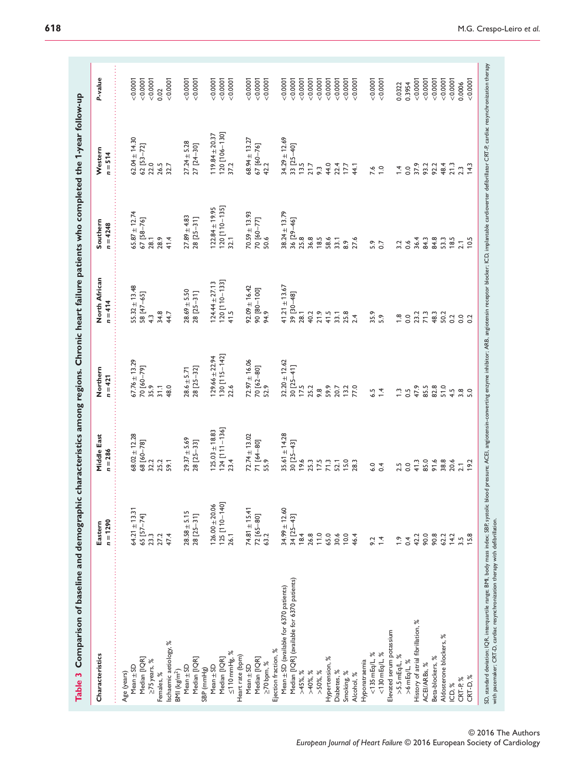| Characteristics                            | $n = 1290$<br>Eastern | Middle East<br>$n = 286$                                           | Northern<br>$n=421$                        | North African<br>$= 414$                                                                            | Southern<br>$n = 4248$                                             | Western<br>$n = 514$                                                          | P-value |
|--------------------------------------------|-----------------------|--------------------------------------------------------------------|--------------------------------------------|-----------------------------------------------------------------------------------------------------|--------------------------------------------------------------------|-------------------------------------------------------------------------------|---------|
| Age (years)                                |                       |                                                                    |                                            |                                                                                                     |                                                                    |                                                                               |         |
| $Mean \pm SD$                              | $64.21 \pm 13.31$     | $58.02 \pm 12.28$                                                  |                                            |                                                                                                     |                                                                    |                                                                               |         |
| Median [IQR]                               | 65 $[57 - 74]$        | 68 [60-78]                                                         | $67.76 \pm 13.29$<br>70 $[60-79]$<br>35.9  | $55.32 \pm 13.48$<br>$58 [47-65]$                                                                   | $65.87 \pm 12.74$<br>$67$ [58-76]<br>28.1                          | $62.04 \pm 14.30$<br>$62$ [53-72]                                             | 0.0001  |
| ≥75 years, %                               | 23.3                  | 32.2                                                               |                                            | 4.3                                                                                                 |                                                                    |                                                                               | 0.0001  |
| Females, %                                 | 27.2                  | 25.2                                                               | 31.1                                       |                                                                                                     | 28.9                                                               | 22.5<br>26.5<br>32.7                                                          | 0.02    |
| Ischaemic aetiology, %                     | 47.4                  | 59.1                                                               | 48.0                                       | 34.7<br>44.7                                                                                        | 41.4                                                               |                                                                               | 0.0001  |
| $BM$ (kg/m <sup>2</sup> )                  |                       |                                                                    |                                            |                                                                                                     |                                                                    |                                                                               |         |
| $Mean \pm SD$                              | $28.58 \pm 5.15$      | $29.37 + 5.69$                                                     | $28.6 \pm 5.71$                            | $28.69 \pm 5.50$                                                                                    | $27.89 \pm 4.83$                                                   |                                                                               | 0.0001  |
| Median [IQR]                               | $28 [25 - 31]$        | $28$ [ $25 - 33$ ]                                                 | 28 [25 - 32]                               | $28$ $[25 - 31]$                                                                                    | $28 [25 - 31]$                                                     | $27.24 \pm 5.28$<br>$27$ $[24-30]$                                            | 0.0001  |
| SBP (mmHg)                                 |                       |                                                                    |                                            |                                                                                                     |                                                                    |                                                                               |         |
| $Mean \pm SD$                              | $126.00 \pm 20.06$    |                                                                    |                                            |                                                                                                     |                                                                    |                                                                               |         |
| Median [IQR]                               | 125 [110-140]         | $\begin{array}{c} 125.03 \pm 18.83 \\ 124 [111 - 136] \end{array}$ | $\frac{129.66 \pm 22.94}{130 [115 - 142]}$ | $\begin{array}{c} 124.44 \pm 27.13 \\ 120\begin{bmatrix} 110-133 \end{bmatrix} \\ 41.5 \end{array}$ | $\begin{array}{c} 122.84 \pm 19.95 \\ 120 [110 - 135] \end{array}$ | $\begin{array}{c} 119.84 \pm 20.37 \\ 120\,\,[106 - 130] \\ 37.2 \end{array}$ | 00000   |
| $\leq$ 110 mmHg, %                         | 26.1                  | 23.4                                                               | 22.6                                       |                                                                                                     | 32.1                                                               |                                                                               | 0.0001  |
| Heart rate (bpm)                           |                       |                                                                    |                                            |                                                                                                     |                                                                    |                                                                               |         |
| $Mean \pm SD$                              | $74.81 \pm 15.41$     | $72.74 \pm 13.02$                                                  |                                            | $92.09 \pm 16.42$                                                                                   | $70.59 \pm 13.93$                                                  | $68.94 \pm 13.27$                                                             | 0.0001  |
| Median [IQR]                               | 72 [65-80]            |                                                                    |                                            |                                                                                                     |                                                                    |                                                                               | 0.0001  |
| ≥70bpm,%                                   | 63.2                  | 71 [64-80]<br>55.9                                                 | $72.97 \pm 16.06$<br>70 [62-80]<br>52.9    | 90 [80-100]<br>94.9                                                                                 | $\frac{70}{50.6}$                                                  | $67$ [ $60-76$ ]<br>42.2                                                      | 0.0001  |
| Ejection fraction, %                       |                       |                                                                    |                                            |                                                                                                     |                                                                    |                                                                               |         |
| Mean ± SD (available for 6370 patients)    | $34.99 \pm 12.60$     | $35.61 \pm 14.28$                                                  | $32.20 \pm 12.62$                          | $41.21 \pm 13.67$                                                                                   | $38.24 \pm 13.79$                                                  | $34.29 \pm 12.69$                                                             | 0.0001  |
| Median [IQR] (available for 6370 patients) | $34$ [25-43]          |                                                                    |                                            |                                                                                                     | 36 [29-46]                                                         |                                                                               | 0.0001  |
| $>45%$ , %                                 | 18.4                  | $30 [25 - 43]$<br>19.6                                             | $\frac{30}{17.5}$ [25-41]<br>17.5<br>25.2  | $\frac{39}{28.1}$ [30-48]                                                                           |                                                                    | 33 [25-40]<br>13.5<br>21.7                                                    | 0.0001  |
| >40%, %                                    | 26.8                  |                                                                    |                                            | 40.2                                                                                                |                                                                    |                                                                               | 0.0001  |
| $>50\%$ , %                                | 11.0                  | 25.3                                                               | 9.8                                        | 21.9                                                                                                | 25.8<br>36.8<br>18.5                                               | 9.3                                                                           | 0.0007  |
| ৯ৎ<br>Hypertension,                        | 65.0                  |                                                                    | 59.9                                       | 41.5                                                                                                | 58.6                                                               | 44.0                                                                          | 0.0001  |
| Diabetes, %                                | 30.6                  | $71.3$<br>52.1                                                     | 20.7                                       | 33.1                                                                                                | 33.1                                                               | 22.4                                                                          | 0.0001  |
| Smoking, %                                 | 10.0                  | 15.0                                                               |                                            | 25.8                                                                                                | $\frac{6}{8}$                                                      |                                                                               | 0.0007  |
| Alcohol, %                                 | 46.4                  | 28.3                                                               | 13.2                                       | 2.4                                                                                                 | 27.6                                                               | 44.1                                                                          | 0.0007  |
| Hyponatraemia                              |                       |                                                                    |                                            |                                                                                                     |                                                                    |                                                                               |         |
| $<$ 135 $m$ Eq/L, %                        | 9.2                   |                                                                    |                                            |                                                                                                     |                                                                    |                                                                               | 0.0001  |
| $<$ 130 $mEq/L$ , %                        | $\overline{14}$       | $rac{6}{9}$ 4                                                      | 6.4                                        | 35.9<br>5.9                                                                                         | $5.9$<br>0.7                                                       | $7.6$<br>1.0                                                                  | 0.0001  |
| Elevated serum potassium                   |                       |                                                                    |                                            |                                                                                                     |                                                                    |                                                                               |         |
| $>5.5$ mEq/L, %                            | $\frac{6}{1}$         |                                                                    | $\ddot{ }$                                 | 1.8                                                                                                 | 3.2                                                                | $\ddot{ }$                                                                    | 0.0322  |
| >6 mEq/L, %                                | 0.4                   | $2.5$<br>0.0                                                       | 0.5<br>47.9                                | $\overline{0}$                                                                                      | 0.6                                                                | o.o                                                                           | 0.3954  |
| History of atrial fibrillation, %          | 42.2                  |                                                                    |                                            |                                                                                                     | 36.4                                                               |                                                                               | 0.0001  |
| ACEI/ARBs, %                               | 90.0                  | $41.3$<br>85.0                                                     | 85.5                                       | 23.2<br>71.3                                                                                        | 84.3                                                               | 52243<br>23242                                                                | 0.0001  |
| Beta-blockers, %                           | 90.8                  |                                                                    |                                            |                                                                                                     |                                                                    |                                                                               | 0.0001  |
| Aldosterone blockers, %                    | 62.2                  | 91.6<br>38.8<br>20.6                                               | 82.8<br>51.0<br>4.5                        | 48.3<br>50.2                                                                                        |                                                                    |                                                                               | 0.0001  |
| ICD, %                                     | 14.2                  |                                                                    |                                            | 0.2                                                                                                 |                                                                    |                                                                               | 0.0001  |
| CRT-P,%                                    | 3.5                   | 2.1                                                                | 3.0                                        | $0.0$<br>$0.2$                                                                                      | 84.3<br>53.3<br>2.1                                                | 2.3                                                                           | 0.0006  |
| CRT-D, %                                   | 15.8                  | 19.2                                                               |                                            |                                                                                                     | 10.5                                                               | 14.3                                                                          | 0.0001  |

**1**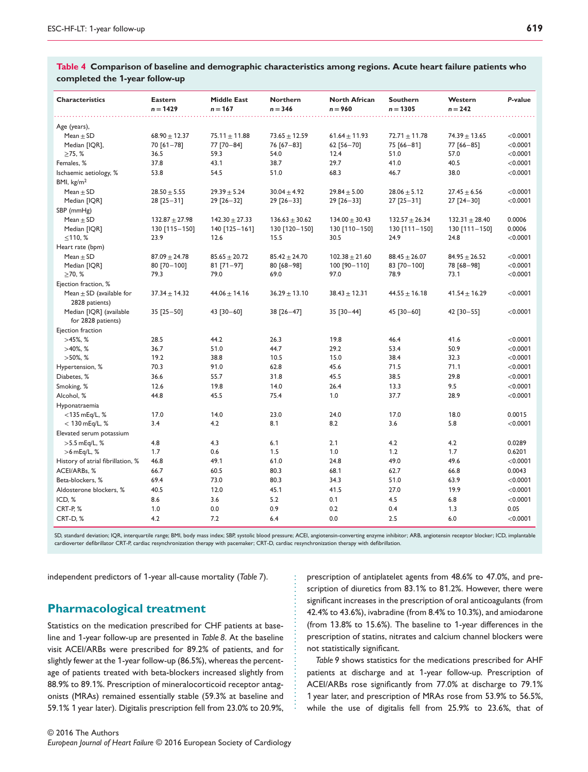| <b>Characteristics</b>                               | <b>Eastern</b><br>$n = 1429$ | <b>Middle East</b><br>n = 167 | <b>Northern</b><br>$n = 346$ | <b>North African</b><br>$n = 960$ | <b>Southern</b><br>$n = 1305$ | Western<br>$n = 242$ | P-value              |
|------------------------------------------------------|------------------------------|-------------------------------|------------------------------|-----------------------------------|-------------------------------|----------------------|----------------------|
| Age (years),                                         |                              |                               |                              |                                   |                               |                      |                      |
| Mean $\pm$ SD                                        | $68.90 \pm 12.37$            | $75.11 \pm 11.88$             | $73.65 \pm 12.59$            | $61.64 \pm 11.93$                 | $72.71 \pm 11.78$             | $74.39 \pm 13.65$    | < 0.0001             |
| Median [IQR],                                        | 70 [61-78]                   | 77 [70-84]                    | 76 [67-83]                   | 62 [56-70]                        | 75 [66-81]                    | 77 [66-85]           | < 0.0001             |
| $\geq$ 75, %                                         | 36.5                         | 59.3                          | 54.0                         | 12.4                              | 51.0                          | 57.0                 | < 0.0001             |
| Females, %                                           | 37.8                         | 43.1                          | 38.7                         | 29.7                              | 41.0                          | 40.5                 | < 0.0001             |
| Ischaemic aetiology, %                               | 53.8                         | 54.5                          | 51.0                         | 68.3                              | 46.7                          | 38.0                 | < 0.0001             |
| BMI, $\text{kg/m}^2$                                 |                              |                               |                              |                                   |                               |                      |                      |
| Mean $\pm$ SD                                        | $28.50 + 5.55$               | $29.39 \pm 5.24$              | $30.04 \pm 4.92$             | $29.84 \pm 5.00$                  | $28.06 \pm 5.12$              | $27.45 \pm 6.56$     | < 0.0001             |
| Median [IQR]                                         | $28$ [25 - 31]               | 29 [26 - 32]                  | $29$ [26-33]                 | $29$ [26-33]                      | $27$ [25-31]                  | $27$ [24-30]         | < 0.0001             |
| SBP (mmHg)                                           |                              |                               |                              |                                   |                               |                      |                      |
| Mean $\pm$ SD                                        | $132.87 \pm 27.98$           | $142.30 \pm 27.33$            | $136.63 \pm 30.62$           | $134.00 \pm 30.43$                | $132.57 \pm 26.34$            | $132.31 \pm 28.40$   | 0.0006               |
| Median [IQR]                                         | 130 [115-150]                | 140 [125-161]                 | 130 [120-150]                | 130 [110-150]                     | 130 [111-150]                 | 130 [111-150]        | 0.0006               |
| ≤110, %                                              | 23.9                         | 12.6                          | 15.5                         | 30.5                              | 24.9                          | 24.8                 | < 0.0001             |
| Heart rate (bpm)                                     |                              |                               |                              |                                   |                               |                      |                      |
| Mean $\pm$ SD                                        | $87.09 \pm 24.78$            | $85.65 \pm 20.72$             | $85.42 \pm 24.70$            | $102.38 \pm 21.60$                | $88.45 \pm 26.07$             | $84.95 \pm 26.52$    | < 0.0001             |
| Median [IQR]                                         | 80 [70-100]                  | 81 [71-97]                    | 80 [68-98]                   | 100 [90-110]                      | 83 [70-100]<br>78.9           | 78 [68-98]           | < 0.0001<br>< 0.0001 |
| $\geq 70, %$                                         | 79.3                         | 79.0                          | 69.0                         | 97.0                              |                               | 73.1                 |                      |
| Ejection fraction, %<br>Mean $\pm$ SD (available for |                              |                               |                              |                                   |                               |                      |                      |
| 2828 patients)                                       | $37.34 \pm 14.32$            | $44.06 \pm 14.16$             | $36.29 \pm 13.10$            | $38.43 \pm 12.31$                 | $44.55 \pm 16.18$             | $41.54 \pm 16.29$    | < 0.0001             |
| Median [IQR] (available<br>for 2828 patients)        | $35$ [25-50]                 | 43 [30-60]                    | 38 [26-47]                   | 35 [30-44]                        | 45 [30-60]                    | 42 [30 - 55]         | < 0.0001             |
| Ejection fraction                                    |                              |                               |                              |                                   |                               |                      |                      |
| $>45\%$ , %                                          | 28.5                         | 44.2                          | 26.3                         | 19.8                              | 46.4                          | 41.6                 | < 0.0001             |
| $>40\%$ , %                                          | 36.7                         | 51.0                          | 44.7                         | 29.2                              | 53.4                          | 50.9                 | < 0.0001             |
| $>50\%$ , %                                          | 19.2                         | 38.8                          | 10.5                         | 15.0                              | 38.4                          | 32.3                 | < 0.0001             |
| Hypertension, %                                      | 70.3                         | 91.0                          | 62.8                         | 45.6                              | 71.5                          | 71.1                 | < 0.0001             |
| Diabetes, %                                          | 36.6                         | 55.7                          | 31.8                         | 45.5                              | 38.5                          | 29.8                 | < 0.0001             |
| Smoking, %                                           | 12.6                         | 19.8                          | 14.0                         | 26.4                              | 13.3                          | 9.5                  | < 0.0001             |
| Alcohol, %                                           | 44.8                         | 45.5                          | 75.4                         | 1.0                               | 37.7                          | 28.9                 | < 0.0001             |
| Hyponatraemia                                        |                              |                               |                              |                                   |                               |                      |                      |
| $<$ 135 mEq/L, %                                     | 17.0                         | 14.0                          | 23.0                         | 24.0                              | 17.0                          | 18.0                 | 0.0015               |
| $< 130$ mEq/L, %                                     | 3.4                          | 4.2                           | 8.1                          | 8.2                               | 3.6                           | 5.8                  | < 0.0001             |
| Elevated serum potassium                             |                              |                               |                              |                                   |                               |                      |                      |
| >5.5 mEq/L, %                                        | 4.8                          | 4.3                           | 6.1                          | 2.1                               | 4.2                           | 4.2                  | 0.0289               |
| $>6$ mEq/L, $%$                                      | 1.7                          | 0.6                           | 1.5                          | 1.0                               | 1.2                           | 1.7                  | 0.6201               |
| History of atrial fibrillation, %                    | 46.8                         | 49.1                          | 61.0                         | 24.8                              | 49.0                          | 49.6                 | $<$ 0.0001           |
| ACEI/ARBs, %                                         | 66.7                         | 60.5                          | 80.3                         | 68.1                              | 62.7                          | 66.8                 | 0.0043               |
| Beta-blockers, %                                     | 69.4                         | 73.0                          | 80.3                         | 34.3                              | 51.0                          | 63.9                 | < 0.0001             |
| Aldosterone blockers, %                              | 40.5                         | 12.0                          | 45.1                         | 41.5                              | 27.0                          | 19.9                 | < 0.0001             |
| ICD, %                                               | 8.6                          | 3.6                           | 5.2                          | 0.1                               | 4.5                           | 6.8                  | < 0.0001             |
| CRT-P, %                                             | 1.0                          | 0.0                           | 0.9                          | 0.2                               | 0.4                           | 1.3                  | 0.05                 |
| <b>CRT-D.%</b>                                       | 4.2                          | 7.2                           | 6.4                          | 0.0                               | 2.5                           | 6.0                  | < 0.0001             |

**Table 4 Comparison of baseline and demographic characteristics among regions. Acute heart failure patients who completed the 1-year follow-up**

SD, standard deviation; IQR, interquartile range; BMI, body mass index; SBP, systolic blood pressure; ACEI, angiotensin-converting enzyme inhibitor; ARB, angiotensin receptor blocker; ICD, implantable cardioverter defibrillator CRT-P, cardiac resynchronization therapy with pacemaker; CRT-D, cardiac resynchronization therapy with defibrillation.

...................................

independent predictors of 1-year all-cause mortality (*Table 7*).

# **Pharmacological treatment**

Statistics on the medication prescribed for CHF patients at baseline and 1-year follow-up are presented in *Table 8*. At the baseline visit ACEI/ARBs were prescribed for 89.2% of patients, and for slightly fewer at the 1-year follow-up (86.5%), whereas the percentage of patients treated with beta-blockers increased slightly from 88.9% to 89.1%. Prescription of mineralocorticoid receptor antagonists (MRAs) remained essentially stable (59.3% at baseline and 59.1% 1 year later). Digitalis prescription fell from 23.0% to 20.9%, prescription of antiplatelet agents from 48.6% to 47.0%, and prescription of diuretics from 83.1% to 81.2%. However, there were significant increases in the prescription of oral anticoagulants (from 42.4% to 43.6%), ivabradine (from 8.4% to 10.3%), and amiodarone (from 13.8% to 15.6%). The baseline to 1-year differences in the prescription of statins, nitrates and calcium channel blockers were not statistically significant.

*Table 9* shows statistics for the medications prescribed for AHF patients at discharge and at 1-year follow-up. Prescription of ACEI/ARBs rose significantly from 77.0% at discharge to 79.1% 1 year later, and prescription of MRAs rose from 53.9% to 56.5%, while the use of digitalis fell from 25.9% to 23.6%, that of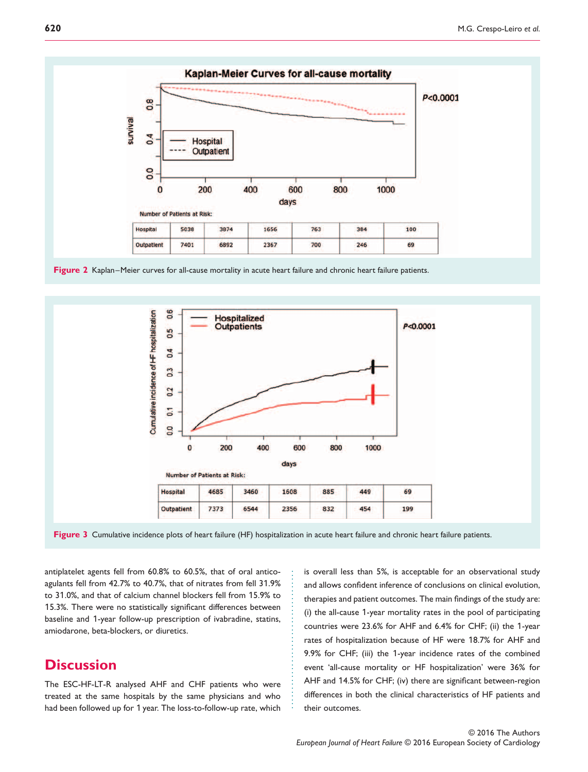





....................................

antiplatelet agents fell from 60.8% to 60.5%, that of oral anticoagulants fell from 42.7% to 40.7%, that of nitrates from fell 31.9% to 31.0%, and that of calcium channel blockers fell from 15.9% to 15.3%. There were no statistically significant differences between baseline and 1-year follow-up prescription of ivabradine, statins, amiodarone, beta-blockers, or diuretics.

# **Discussion**

The ESC-HF-LT-R analysed AHF and CHF patients who were treated at the same hospitals by the same physicians and who had been followed up for 1 year. The loss-to-follow-up rate, which is overall less than 5%, is acceptable for an observational study and allows confident inference of conclusions on clinical evolution, therapies and patient outcomes. The main findings of the study are: (i) the all-cause 1-year mortality rates in the pool of participating countries were 23.6% for AHF and 6.4% for CHF; (ii) the 1-year rates of hospitalization because of HF were 18.7% for AHF and 9.9% for CHF; (iii) the 1-year incidence rates of the combined event 'all-cause mortality or HF hospitalization' were 36% for AHF and 14.5% for CHF; (iv) there are significant between-region differences in both the clinical characteristics of HF patients and their outcomes.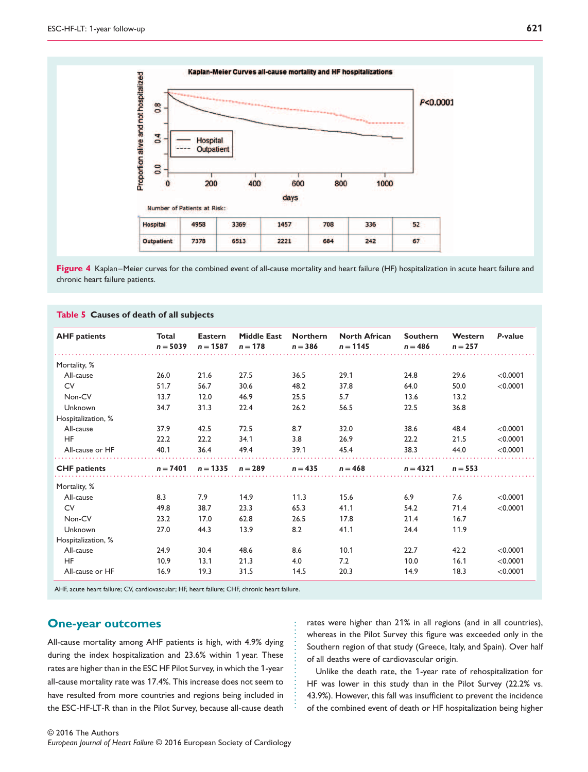

Figure 4 Kaplan–Meier curves for the combined event of all-cause mortality and heart failure (HF) hospitalization in acute heart failure and chronic heart failure patients.

| <b>AHF</b> patients | <b>Total</b><br>$n = 5039$ | <b>Eastern</b><br>$n = 1587$ | <b>Middle East</b><br>$n = 178$ | <b>Northern</b><br>$n = 386$ | <b>North African</b><br>$n = 1145$ | <b>Southern</b><br>$n = 486$ | Western<br>$n = 257$ | P-value  |
|---------------------|----------------------------|------------------------------|---------------------------------|------------------------------|------------------------------------|------------------------------|----------------------|----------|
| Mortality, %        |                            |                              |                                 |                              |                                    |                              |                      |          |
| All-cause           | 26.0                       | 21.6                         | 27.5                            | 36.5                         | 29.1                               | 24.8                         | 29.6                 | < 0.0001 |
| <b>CV</b>           | 51.7                       | 56.7                         | 30.6                            | 48.2                         | 37.8                               | 64.0                         | 50.0                 | < 0.0001 |
| Non-CV              | 13.7                       | 12.0                         | 46.9                            | 25.5                         | 5.7                                | 13.6                         | 13.2                 |          |
| Unknown             | 34.7                       | 31.3                         | 22.4                            | 26.2                         | 56.5                               | 22.5                         | 36.8                 |          |
| Hospitalization, %  |                            |                              |                                 |                              |                                    |                              |                      |          |
| All-cause           | 37.9                       | 42.5                         | 72.5                            | 8.7                          | 32.0                               | 38.6                         | 48.4                 | < 0.0001 |
| <b>HF</b>           | 22.2                       | 22.2                         | 34.1                            | 3.8                          | 26.9                               | 22.2                         | 21.5                 | < 0.0001 |
| All-cause or HF     | 40.1                       | 36.4                         | 49.4                            | 39.1                         | 45.4                               | 38.3                         | 44.0                 | < 0.0001 |
| <b>CHF</b> patients | $n = 7401$                 | $n = 1335$                   | $n = 289$                       | $n = 435$                    | $n = 468$                          | $n = 4321$                   | $n = 553$            |          |
| Mortality, %        |                            |                              |                                 |                              |                                    |                              |                      |          |
| All-cause           | 8.3                        | 7.9                          | 14.9                            | 11.3                         | 15.6                               | 6.9                          | 7.6                  | < 0.0001 |
| <b>CV</b>           | 49.8                       | 38.7                         | 23.3                            | 65.3                         | 41.1                               | 54.2                         | 71.4                 | < 0.0001 |
| Non-CV              | 23.2                       | 17.0                         | 62.8                            | 26.5                         | 17.8                               | 21.4                         | 16.7                 |          |
| Unknown             | 27.0                       | 44.3                         | 13.9                            | 8.2                          | 41.1                               | 24.4                         | 11.9                 |          |
| Hospitalization, %  |                            |                              |                                 |                              |                                    |                              |                      |          |
| All-cause           | 24.9                       | 30.4                         | 48.6                            | 8.6                          | 10.1                               | 22.7                         | 42.2                 | < 0.0001 |
| <b>HF</b>           | 10.9                       | 13.1                         | 21.3                            | 4.0                          | 7.2                                | 10.0                         | 16.1                 | < 0.0001 |
| All-cause or HF     | 16.9                       | 19.3                         | 31.5                            | 14.5                         | 20.3                               | 14.9                         | 18.3                 | < 0.0001 |

.......................

AHF, acute heart failure; CV, cardiovascular; HF, heart failure; CHF, chronic heart failure.

**Table 5 Causes of death of all subjects**

# **One-year outcomes**

All-cause mortality among AHF patients is high, with 4.9% dying during the index hospitalization and 23.6% within 1 year. These rates are higher than in the ESC HF Pilot Survey, in which the 1-year all-cause mortality rate was 17.4%. This increase does not seem to have resulted from more countries and regions being included in the ESC-HF-LT-R than in the Pilot Survey, because all-cause death

rates were higher than 21% in all regions (and in all countries), whereas in the Pilot Survey this figure was exceeded only in the Southern region of that study (Greece, Italy, and Spain). Over half of all deaths were of cardiovascular origin.

Unlike the death rate, the 1-year rate of rehospitalization for HF was lower in this study than in the Pilot Survey (22.2% vs. 43.9%). However, this fall was insufficient to prevent the incidence of the combined event of death or HF hospitalization being higher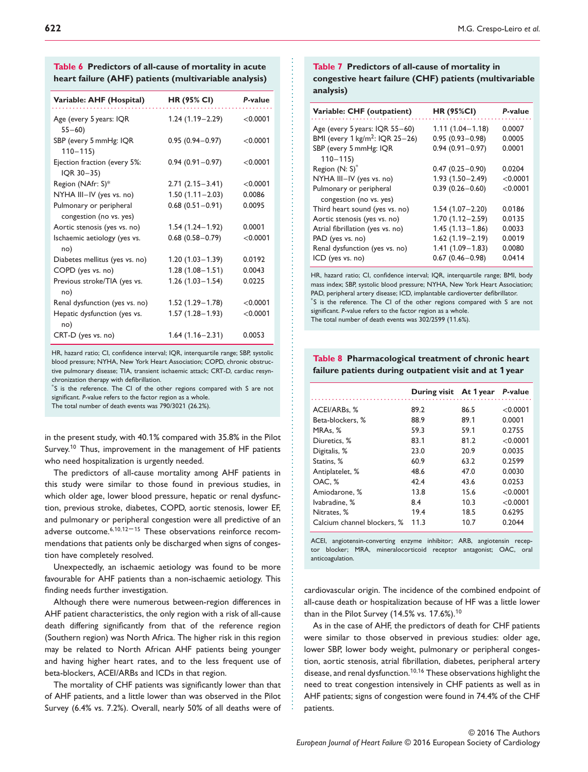#### **Table 6 Predictors of all-cause of mortality in acute heart failure (AHF) patients (multivariable analysis)**

| Variable: AHF (Hospital)                           | <b>HR (95% CI)</b>  | P-value  |
|----------------------------------------------------|---------------------|----------|
| Age (every 5 years: IQR<br>$55 - 60$               | $1.24(1.19 - 2.29)$ | < 0.0001 |
| SBP (every 5 mmHg: IQR<br>$110 - 115$              | $0.95(0.94 - 0.97)$ | < 0.0001 |
| Ejection fraction (every 5%:<br>IQR 30-35)         | $0.94(0.91 - 0.97)$ | < 0.0001 |
| Region (NAfr: S)*                                  | $2.71(2.15 - 3.41)$ | < 0.0001 |
| NYHA III-IV (yes vs. no)                           | $1.50(1.11 - 2.03)$ | 0.0086   |
| Pulmonary or peripheral<br>congestion (no vs. yes) | $0.68(0.51 - 0.91)$ | 0.0095   |
| Aortic stenosis (yes vs. no)                       | $1.54(1.24 - 1.92)$ | 0.0001   |
| Ischaemic aetiology (yes vs.<br>no)                | $0.68(0.58 - 0.79)$ | < 0.0001 |
| Diabetes mellitus (yes vs. no)                     | $1.20(1.03 - 1.39)$ | 0.0192   |
| COPD (yes vs. no)                                  | $1.28(1.08 - 1.51)$ | 0.0043   |
| Previous stroke/TIA (yes vs.<br>no)                | $1.26(1.03 - 1.54)$ | 0.0225   |
| Renal dysfunction (yes vs. no)                     | $1.52(1.29 - 1.78)$ | < 0.0001 |
| Hepatic dysfunction (yes vs.<br>no)                | $1.57(1.28 - 1.93)$ | < 0.0001 |
| CRT-D (yes vs. no)                                 | $1.64(1.16 - 2.31)$ | 0.0053   |

HR, hazard ratio; CI, confidence interval; IQR, interquartile range; SBP, systolic blood pressure; NYHA, New York Heart Association; COPD, chronic obstructive pulmonary disease; TIA, transient ischaemic attack; CRT-D, cardiac resynchronization therapy with defibrillation.

\*S is the reference. The CI of the other regions compared with S are not significant. *P*-value refers to the factor region as a whole.

The total number of death events was 790/3021 (26.2%).

in the present study, with 40.1% compared with 35.8% in the Pilot Survey.<sup>10</sup> Thus, improvement in the management of HF patients who need hospitalization is urgently needed.

The predictors of all-cause mortality among AHF patients in this study were similar to those found in previous studies, in which older age, lower blood pressure, hepatic or renal dysfunction, previous stroke, diabetes, COPD, aortic stenosis, lower EF, and pulmonary or peripheral congestion were all predictive of an adverse outcome.<sup>6,10,12-15</sup> These observations reinforce recommendations that patients only be discharged when signs of congestion have completely resolved.

Unexpectedly, an ischaemic aetiology was found to be more favourable for AHF patients than a non-ischaemic aetiology. This finding needs further investigation.

Although there were numerous between-region differences in AHF patient characteristics, the only region with a risk of all-cause death differing significantly from that of the reference region (Southern region) was North Africa. The higher risk in this region may be related to North African AHF patients being younger and having higher heart rates, and to the less frequent use of beta-blockers, ACEI/ARBs and ICDs in that region.

The mortality of CHF patients was significantly lower than that of AHF patients, and a little lower than was observed in the Pilot Survey (6.4% vs. 7.2%). Overall, nearly 50% of all deaths were of

#### **Table 7 Predictors of all-cause of mortality in congestive heart failure (CHF) patients (multivariable analysis)**

| Variable: CHF (outpatient)                 | <b>HR (95%CI)</b>   | P-value  |
|--------------------------------------------|---------------------|----------|
| Age (every 5 years: IQR 55-60)             | $1.11(1.04 - 1.18)$ | 0.0007   |
| BMI (every $1 \text{ kg/m}^2$ : IQR 25-26) | $0.95(0.93 - 0.98)$ | 0.0005   |
| SBP (every 5 mmHg: IQR                     | $0.94(0.91 - 0.97)$ | 0.0001   |
| $110 - 115$                                |                     |          |
| Region (N: S)*                             | $0.47(0.25 - 0.90)$ | 0.0204   |
| NYHA III-IV (yes vs. no)                   | $1.93(1.50 - 2.49)$ | < 0.0001 |
| Pulmonary or peripheral                    | $0.39(0.26 - 0.60)$ | < 0.0001 |
| congestion (no vs. yes)                    |                     |          |
| Third heart sound (yes vs. no)             | $1.54(1.07 - 2.20)$ | 0.0186   |
| Aortic stenosis (yes vs. no)               | $1.70(1.12 - 2.59)$ | 0.0135   |
| Atrial fibrillation (yes vs. no)           | $1.45(1.13 - 1.86)$ | 0.0033   |
| PAD (yes vs. no)                           | $1.62(1.19 - 2.19)$ | 0.0019   |
| Renal dysfunction (yes vs. no)             | $1.41(1.09 - 1.83)$ | 0.0080   |
| ICD (yes vs. no)                           | $0.67(0.46 - 0.98)$ | 0.0414   |

HR, hazard ratio; CI, confidence interval; IQR, interquartile range; BMI, body mass index; SBP, systolic blood pressure; NYHA, New York Heart Association; PAD, peripheral artery disease; ICD, implantable cardioverter defibrillator. \*S is the reference. The CI of the other regions compared with S are not significant. *P*-value refers to the factor region as a whole. The total number of death events was 302/2599 (11.6%).

............................................................... ................................................................ .........................................

#### **Table 8 Pharmacological treatment of chronic heart failure patients during outpatient visit and at 1 year**

|                             | During visit At 1 year P-value |      |          |
|-----------------------------|--------------------------------|------|----------|
| ACEI/ARBs, %                | 89.2                           | 86.5 | < 0.0001 |
| Beta-blockers, %            | 88.9                           | 89.1 | 0.0001   |
| MRAs, %                     | 59.3                           | 59.1 | 0.2755   |
| Diuretics, %                | 83.1                           | 81.2 | < 0.0001 |
| Digitalis, %                | 23.0                           | 20.9 | 0.0035   |
| Statins, %                  | 60.9                           | 63.2 | 0.2599   |
| Antiplatelet, %             | 48.6                           | 47.0 | 0.0030   |
| OAC. %                      | 42.4                           | 43.6 | 0.0253   |
| Amiodarone, %               | 13.8                           | 15.6 | < 0.0001 |
| Ivabradine, %               | 8.4                            | 10.3 | < 0.0001 |
| Nitrates, %                 | 19.4                           | 18.5 | 0.6295   |
| Calcium channel blockers, % | 11.3                           | 10.7 | 0.2044   |

ACEI, angiotensin-converting enzyme inhibitor; ARB, angiotensin receptor blocker; MRA, mineralocorticoid receptor antagonist; OAC, oral anticoagulation.

cardiovascular origin. The incidence of the combined endpoint of all-cause death or hospitalization because of HF was a little lower than in the Pilot Survey (14.5% vs. 17.6%).<sup>10</sup>

As in the case of AHF, the predictors of death for CHF patients were similar to those observed in previous studies: older age, lower SBP, lower body weight, pulmonary or peripheral congestion, aortic stenosis, atrial fibrillation, diabetes, peripheral artery disease, and renal dysfunction.<sup>1</sup>0*,*1<sup>6</sup> These observations highlight the need to treat congestion intensively in CHF patients as well as in AHF patients; signs of congestion were found in 74.4% of the CHF patients.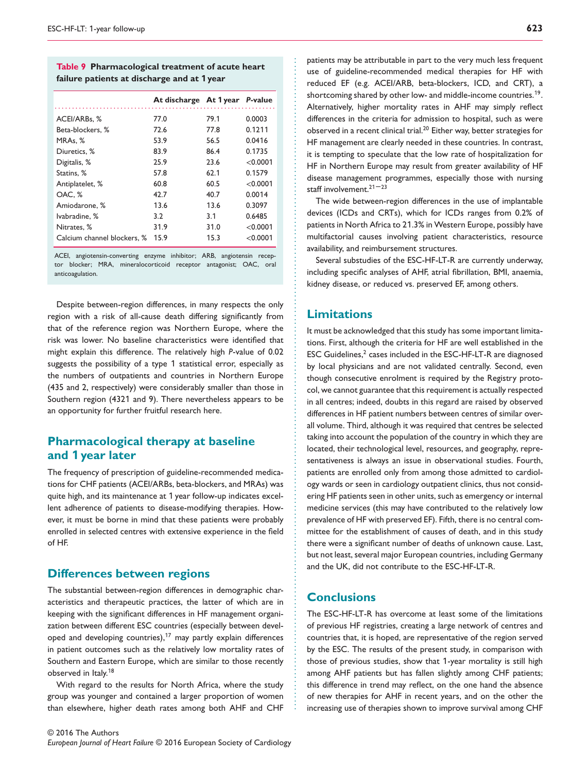**Table 9 Pharmacological treatment of acute heart failure patients at discharge and at 1 year**

|                             | At discharge At 1 year P-value |      |            |
|-----------------------------|--------------------------------|------|------------|
| ACEI/ARBs, %                | 77.0                           | 79.1 | 0.0003     |
| Beta-blockers, %            | 72.6                           | 77.8 | 0.1211     |
| MRAs, %                     | 53.9                           | 56.5 | 0.0416     |
| Diuretics, %                | 83.9                           | 86.4 | 0.1735     |
| Digitalis, %                | 25.9                           | 23.6 | < 0.0001   |
| Statins, %                  | 57.8                           | 62.1 | 0.1579     |
| Antiplatelet, %             | 60.8                           | 60.5 | < 0.0001   |
| OAC.%                       | 42.7                           | 40.7 | 0.0014     |
| Amiodarone, %               | 13.6                           | 13.6 | 0.3097     |
| Ivabradine, %               | 3.2                            | 3.1  | 0.6485     |
| Nitrates, %                 | 31.9                           | 31.0 | < 0.0001   |
| Calcium channel blockers, % | 15.9                           | 15.3 | $<$ 0.0001 |

ACEI, angiotensin-converting enzyme inhibitor; ARB, angiotensin receptor blocker; MRA, mineralocorticoid receptor antagonist; OAC, oral anticoagulation.

Despite between-region differences, in many respects the only region with a risk of all-cause death differing significantly from that of the reference region was Northern Europe, where the risk was lower. No baseline characteristics were identified that might explain this difference. The relatively high *P*-value of 0.02 suggests the possibility of a type 1 statistical error, especially as the numbers of outpatients and countries in Northern Europe (435 and 2, respectively) were considerably smaller than those in Southern region (4321 and 9). There nevertheless appears to be an opportunity for further fruitful research here.

# **Pharmacological therapy at baseline and 1 year later**

The frequency of prescription of guideline-recommended medications for CHF patients (ACEI/ARBs, beta-blockers, and MRAs) was quite high, and its maintenance at 1 year follow-up indicates excellent adherence of patients to disease-modifying therapies. However, it must be borne in mind that these patients were probably enrolled in selected centres with extensive experience in the field of HF.

# **Differences between regions**

The substantial between-region differences in demographic characteristics and therapeutic practices, the latter of which are in keeping with the significant differences in HF management organization between different ESC countries (especially between developed and developing countries), $17$  may partly explain differences in patient outcomes such as the relatively low mortality rates of Southern and Eastern Europe, which are similar to those recently observed in Italy.<sup>1</sup><sup>8</sup>

With regard to the results for North Africa, where the study group was younger and contained a larger proportion of women than elsewhere, higher death rates among both AHF and CHF

patients may be attributable in part to the very much less frequent use of guideline-recommended medical therapies for HF with reduced EF (e.g. ACEI/ARB, beta-blockers, ICD, and CRT), a shortcoming shared by other low- and middle-income countries.<sup>19</sup>. Alternatively, higher mortality rates in AHF may simply reflect differences in the criteria for admission to hospital, such as were observed in a recent clinical trial.20 Either way, better strategies for HF management are clearly needed in these countries. In contrast, it is tempting to speculate that the low rate of hospitalization for HF in Northern Europe may result from greater availability of HF disease management programmes, especially those with nursing staff involvement.<sup>21-23</sup>

The wide between-region differences in the use of implantable devices (ICDs and CRTs), which for ICDs ranges from 0.2% of patients in North Africa to 21.3% in Western Europe, possibly have multifactorial causes involving patient characteristics, resource availability, and reimbursement structures.

Several substudies of the ESC-HF-LT-R are currently underway, including specific analyses of AHF, atrial fibrillation, BMI, anaemia, kidney disease, or reduced vs. preserved EF, among others.

# **Limitations**

............................................................... ................................................................ .........................................

It must be acknowledged that this study has some important limitations. First, although the criteria for HF are well established in the ESC Guidelines, $<sup>2</sup>$  cases included in the ESC-HF-LT-R are diagnosed</sup> by local physicians and are not validated centrally. Second, even though consecutive enrolment is required by the Registry protocol, we cannot guarantee that this requirement is actually respected in all centres; indeed, doubts in this regard are raised by observed differences in HF patient numbers between centres of similar overall volume. Third, although it was required that centres be selected taking into account the population of the country in which they are located, their technological level, resources, and geography, representativeness is always an issue in observational studies. Fourth, patients are enrolled only from among those admitted to cardiology wards or seen in cardiology outpatient clinics, thus not considering HF patients seen in other units, such as emergency or internal medicine services (this may have contributed to the relatively low prevalence of HF with preserved EF). Fifth, there is no central committee for the establishment of causes of death, and in this study there were a significant number of deaths of unknown cause. Last, but not least, several major European countries, including Germany and the UK, did not contribute to the ESC-HF-LT-R.

# **Conclusions**

The ESC-HF-LT-R has overcome at least some of the limitations of previous HF registries, creating a large network of centres and countries that, it is hoped, are representative of the region served by the ESC. The results of the present study, in comparison with those of previous studies, show that 1-year mortality is still high among AHF patients but has fallen slightly among CHF patients; this difference in trend may reflect, on the one hand the absence of new therapies for AHF in recent years, and on the other the increasing use of therapies shown to improve survival among CHF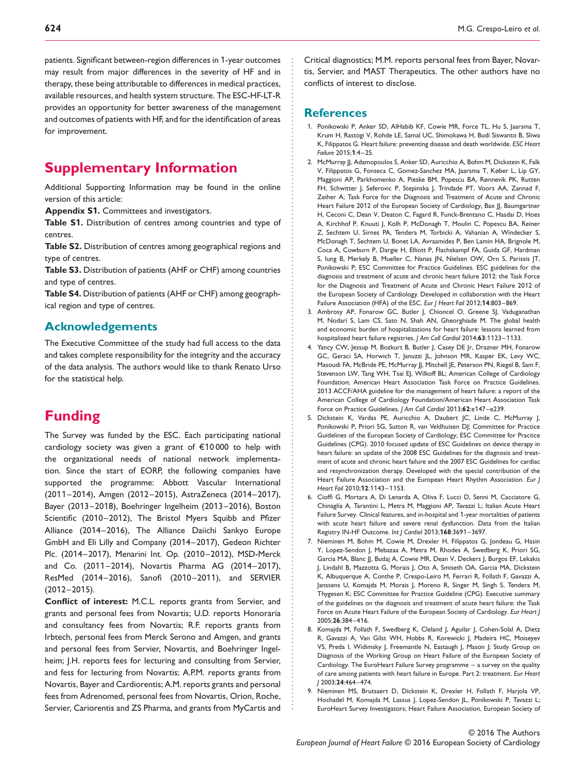patients. Significant between-region differences in 1-year outcomes may result from major differences in the severity of HF and in therapy, these being attributable to differences in medical practices, available resources, and health system structure. The ESC-HF-LT-R provides an opportunity for better awareness of the management and outcomes of patients with HF, and for the identification of areas for improvement.

# **Supplementary Information**

Additional Supporting Information may be found in the online version of this article:

**Appendix S1.** Committees and investigators.

**Table S1.** Distribution of centres among countries and type of centres.

**Table S2.** Distribution of centres among geographical regions and type of centres.

**Table S3.** Distribution of patients (AHF or CHF) among countries and type of centres.

**Table S4.** Distribution of patients (AHF or CHF) among geographical region and type of centres.

#### **Acknowledgements**

The Executive Committee of the study had full access to the data and takes complete responsibility for the integrity and the accuracy of the data analysis. The authors would like to thank Renato Urso for the statistical help.

# **Funding**

The Survey was funded by the ESC. Each participating national cardiology society was given a grant of €10 000 to help with the organizational needs of national network implementation. Since the start of EORP, the following companies have supported the programme: Abbott Vascular International (2011–2014), Amgen (2012–2015), AstraZeneca (2014–2017), Bayer (2013–2018), Boehringer Ingelheim (2013–2016), Boston Scientific (2010–2012), The Bristol Myers Squibb and Pfizer Alliance (2014–2016), The Alliance Daiichi Sankyo Europe GmbH and Eli Lilly and Company (2014–2017), Gedeon Richter Plc. (2014–2017), Menarini Int. Op. (2010–2012), MSD-Merck and Co. (2011–2014), Novartis Pharma AG (2014–2017), ResMed (2014–2016), Sanofi (2010–2011), and SERVIER (2012–2015).

**Conflict of interest:** M.C.L. reports grants from Servier, and grants and personal fees from Novartis; U.D. reports Honoraria and consultancy fees from Novartis; R.F. reports grants from Irbtech, personal fees from Merck Serono and Amgen, and grants and personal fees from Servier, Novartis, and Boehringer Ingelheim; J.H. reports fees for lecturing and consulting from Servier, and fess for lecturing from Novartis; A.P.M. reports grants from Novartis, Bayer and Cardiorentis; A.M. reports grants and personal fees from Adrenomed, personal fees from Novartis, Orion, Roche, Servier, Cariorentis and ZS Pharma, and grants from MyCartis and

Critical diagnostics; M.M. reports personal fees from Bayer, Novartis, Servier, and MAST Therapeutics. The other authors have no conflicts of interest to disclose.

#### **References**

............................................................... ................................................................ .........................................

- 1. Ponikowski P, Anker SD, AlHabib KF, Cowie MR, Force TL, Hu S, Jaarsma T, Krum H, Rastogi V, Rohde LE, Samal UC, Shimokawa H, Budi Siswanto B, Sliwa K, Filippatos G. Heart failure: preventing disease and death worldwide. *ESC Heart Failure* 2015;**1**:4–25.
- 2. McMurray JJ, Adamopoulos S, Anker SD, Auricchio A, Bohm M, Dickstein K, Falk V, Filippatos G, Fonseca C, Gomez-Sanchez MA, Jaarsma T, Køber L, Lip GY, Maggioni AP, Parkhomenko A, Pieske BM, Popescu BA, Rønnevik PK, Rutten FH, Schwitter J, Seferovic P, Stepinska J, Trindade PT, Voors AA, Zannad F, Zeiher A; Task Force for the Diagnosis and Treatment of Acute and Chronic Heart Failure 2012 of the European Society of Cardiology, Bax II, Baumgartner H, Ceconi C, Dean V, Deaton C, Fagard R, Funck-Brentano C, Hasdai D, Hoes A, Kirchhof P, Knuuti J, Kolh P, McDonagh T, Moulin C, Popescu BA, Reiner Z, Sechtem U, Sirnes PA, Tendera M, Torbicki A, Vahanian A, Windecker S, McDonagh T, Sechtem U, Bonet LA, Avraamides P, Ben Lamin HA, Brignole M, Coca A, Cowburn P, Dargie H, Elliott P, Flachskampf FA, Guida GF, Hardman S, Iung B, Merkely B, Mueller C, Nanas JN, Nielsen OW, Orn S, Parissis JT, Ponikowski P; ESC Committee for Practice Guidelines. ESC guidelines for the diagnosis and treatment of acute and chronic heart failure 2012: the Task Force for the Diagnosis and Treatment of Acute and Chronic Heart Failure 2012 of the European Society of Cardiology. Developed in collaboration with the Heart Failure Association (HFA) of the ESC. *Eur J Heart Fail* 2012;**14**:803–869.
- 3. Ambrosy AP, Fonarow GC, Butler J, Chioncel O, Greene SJ, Vaduganathan M, Nodari S, Lam CS, Sato N, Shah AN, Gheorghiade M. The global health and economic burden of hospitalizations for heart failure: lessons learned from hospitalized heart failure registries. *J Am Coll Cardiol* 2014;**63**:1123–1133.
- 4. Yancy CW, Jessup M, Bozkurt B, Butler J, Casey DE Jr, Drazner MH, Fonarow GC, Geraci SA, Horwich T, Januzzi JL, Johnson MR, Kasper EK, Levy WC, Masoudi FA, McBride PE, McMurray JJ, Mitchell JE, Peterson PN, Riegel B, Sam F, Stevenson LW, Tang WH, Tsai EJ, Wilkoff BL; American College of Cardiology Foundation; American Heart Association Task Force on Practice Guidelines. 2013 ACCF/AHA guideline for the management of heart failure: a report of the American College of Cardiology Foundation/American Heart Association Task Force on Practice Guidelines. *J Am Coll Cardiol* 2013;**62**:e147–e239.
- 5. Dickstein K, Vardas PE, Auricchio A, Daubert JC, Linde C, McMurray J, Ponikowski P, Priori SG, Sutton R, van Veldhuisen DJ; Committee for Practice Guidelines of the European Society of Cardiology; ESC Committee for Practice Guidelines (CPG). 2010 focused update of ESC Guidelines on device therapy in heart failure: an update of the 2008 ESC Guidelines for the diagnosis and treatment of acute and chronic heart failure and the 2007 ESC Guidelines for cardiac and resynchronization therapy. Developed with the special contribution of the Heart Failure Association and the European Heart Rhythm Association. *Eur J Heart Fail* 2010;**12**:1143–1153.
- 6. Cioffi G, Mortara A, Di Lenarda A, Oliva F, Lucci D, Senni M, Cacciatore G, Chinaglia A, Tarantini L, Metra M, Maggioni AP, Tavazzi L; Italian Acute Heart Failure Survey. Clinical features, and in-hospital and 1-year mortalities of patients with acute heart failure and severe renal dysfunction. Data from the Italian Registry IN-HF Outcome. *Int J Cardiol* 2013;**168**:3691–3697.
- 7. Nieminen M, Bohm M, Cowie M, Drexler H, Filippatos G, Jondeau G, Hasin Y, Lopez-Sendon J, Mebazaa A, Metra M, Rhodes A, Swedberg K, Priori SG, Garcia MA, Blanc JJ, Budaj A, Cowie MR, Dean V, Deckers J, Burgos EF, Lekakis J, Lindahl B, Mazzotta G, Morais J, Oto A, Smiseth OA, Garcia MA, Dickstein K, Albuquerque A, Conthe P, Crespo-Leiro M, Ferrari R, Follath F, Gavazzi A, Janssens U, Komajda M, Morais J, Moreno R, Singer M, Singh S, Tendera M, Thygesen K; ESC Committee for Practice Guideline (CPG). Executive summary of the guidelines on the diagnosis and treatment of acute heart failure: the Task Force on Acute Heart Failure of the European Society of Cardiology. *Eur Heart J* 2005;**26**:384–416.
- 8. Komajda M, Follath F, Swedberg K, Cleland J, Aguilar J, Cohen-Solal A, Dietz R, Gavazzi A, Van Gilst WH, Hobbs R, Korewicki J, Madeira HC, Moiseyev VS, Preda I, Widimsky J, Freemantle N, Eastaugh J, Mason J; Study Group on Diagnosis of the Working Group on Heart Failure of the European Society of Cardiology. The EuroHeart Failure Survey programme – a survey on the quality of care among patients with heart failure in Europe. Part 2: treatment. *Eur Heart J* 2003;**24**:464–474.
- 9. Nieminen MS, Brutsaert D, Dickstein K, Drexler H, Follath F, Harjola VP, Hochadel M, Komajda M, Lassus J, Lopez-Sendon JL, Ponikowski P, Tavazzi L; EuroHeart Survey Investigators; Heart Failure Association, European Society of